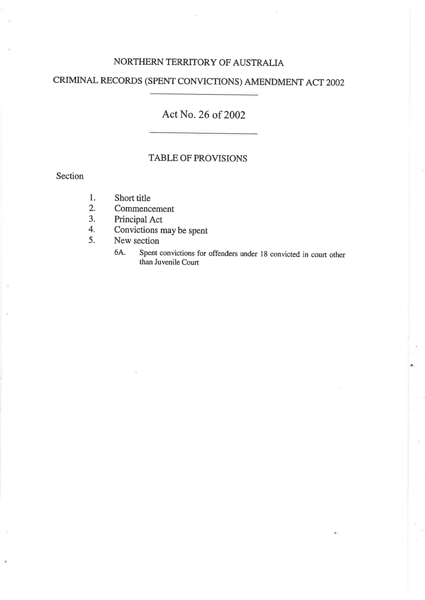## NORTHERN TERRITORY OF AUSTRALIA

# CRIMINAL RECORDS (SPENT CONVICTTONS) AMENDMENT ACT 2OO2

# Act No. 26 of 2002

#### TABLE OF PROVISIONS

#### Section

- Short title 1.
- Commencement 2.
- Principal Act J.
- Convictions may be spent 4.
- New section 5.
	- 6A. Spent convictions for offenders under 18 convicted in court other than Juvenile Court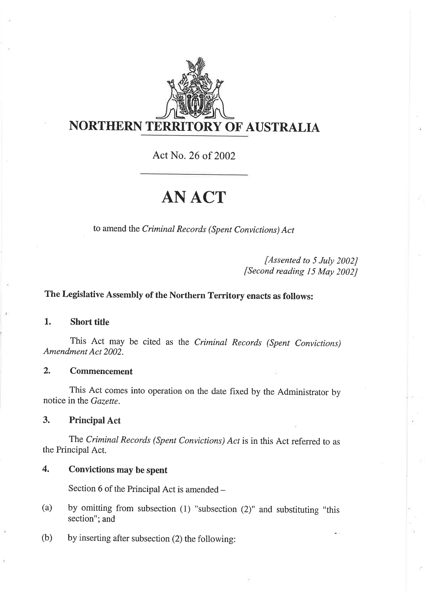

Act No. 26 of 2002

# ANACT

to amend the Criminal Records (Spent Convictions) Act

[Assented to 5 July 2002J [Second reading  $15$  May 2002]

# The Legislative Assembly of the Northern Territory enacts as follows:

#### 1. Short title

This Act may be cited as the Criminal Records (Spent Convictions) Amendment Act 2002.

#### 2. Commencement

This Act comes into operation on the date fixed by the Administrator by notice in the Gazette.

3. Principal Act

The Criminal Records (Spent Convictions) Act is in this Act referred to as the Principal Act.

#### 4. Convictions may be spent

Section 6 of the Principal Act is amended -

- (a) by omitting from subsection (1) "subsection (2)" and substituting "this section"; and
- (b) by inserting after subsection (2) the following: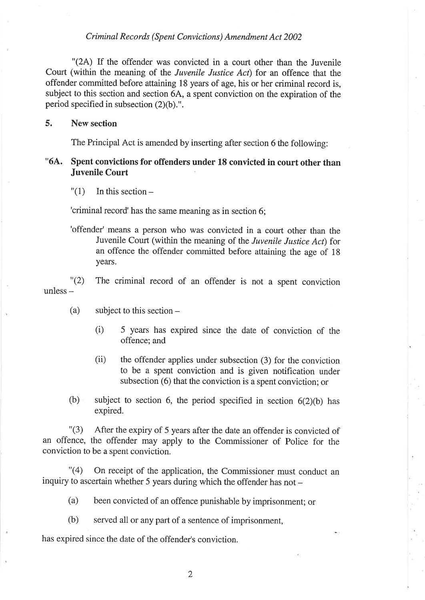"(24) If the offender was convicted in a court other than the Juvenile Court (within the meaning of the Juvenile Justice Act) for an offence that the offender committed before attaining 18 years of age, his or her criminal record is, subject to this section and section 6A, a spent conviction on the expiration of the period specified in subsection  $(2)(b)$ .".

#### 5. New section

The Principal Act is amended by inserting after section 6 the following:

### "64. Spent convictions for offenders under 18 convicted in court other than Juvenile Court

 $"(1)$  In this section –

'criminal record'has the same meaning as in section 6;

'offender' means a person who was convicted in a court other than the Juvenile Court (within the meaning of the Juvenile Justice Act) for an offence the offender committed before attaining the age of <sup>18</sup> years.

"(2) The criminal record of an offender is not a spent conviction unless -

- (a) subject to this section-
	- (i) offence: and 5 years has expired since the date of conviction of the
	- (ii) the offender applies under subsection (3) for the conviction to be a spent conviction and is given notification under subsection (6) that the conviction is a spent conviction; or
- (b) subject to section 6, the period specified in section  $6(2)(b)$  has expired.

"(3) After the expiry of 5 years after the date an offender is convicted of an offence, the offender may apply to the commissioner of Police for the conviction to be a spent conviction.

"(4) On receipt of the application, the Commissioner must conduct an inquiry to ascertain whether 5 years during which the offender has not  $-$ 

- (a) been convicted of an offence punishable by imprisonment; or
- (b) served all or any part of a sentence of imprisonment,

has expired since the date of the offender's conviction.

 $\overline{2}$